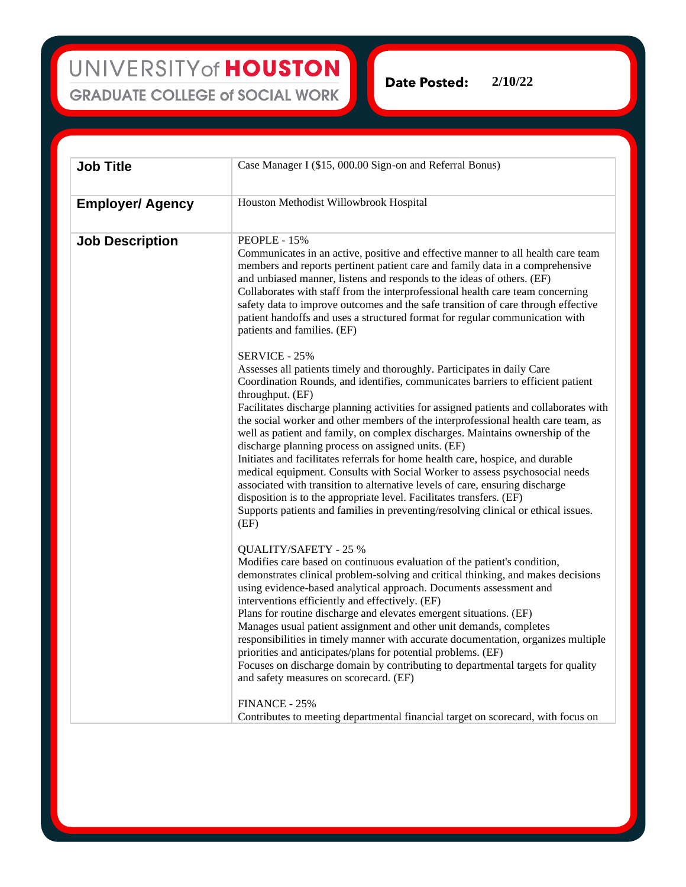UNIVERSITY of HOUSTON **GRADUATE COLLEGE of SOCIAL WORK** 

Date Posted: **2/10/22**

**Job Title** Case Manager I (\$15, 000.00 Sign-on and Referral Bonus) **Employer/ Agency** Houston Methodist Willowbrook Hospital **Job Description** PEOPLE - 15% Communicates in an active, positive and effective manner to all health care team members and reports pertinent patient care and family data in a comprehensive and unbiased manner, listens and responds to the ideas of others. (EF) Collaborates with staff from the interprofessional health care team concerning safety data to improve outcomes and the safe transition of care through effective patient handoffs and uses a structured format for regular communication with patients and families. (EF) SERVICE - 25% Assesses all patients timely and thoroughly. Participates in daily Care Coordination Rounds, and identifies, communicates barriers to efficient patient throughput. (EF) Facilitates discharge planning activities for assigned patients and collaborates with the social worker and other members of the interprofessional health care team, as well as patient and family, on complex discharges. Maintains ownership of the discharge planning process on assigned units. (EF) Initiates and facilitates referrals for home health care, hospice, and durable medical equipment. Consults with Social Worker to assess psychosocial needs associated with transition to alternative levels of care, ensuring discharge disposition is to the appropriate level. Facilitates transfers. (EF) Supports patients and families in preventing/resolving clinical or ethical issues. (EF) QUALITY/SAFETY - 25 % Modifies care based on continuous evaluation of the patient's condition, demonstrates clinical problem-solving and critical thinking, and makes decisions using evidence-based analytical approach. Documents assessment and interventions efficiently and effectively. (EF) Plans for routine discharge and elevates emergent situations. (EF) Manages usual patient assignment and other unit demands, completes responsibilities in timely manner with accurate documentation, organizes multiple priorities and anticipates/plans for potential problems. (EF) Focuses on discharge domain by contributing to departmental targets for quality and safety measures on scorecard. (EF) FINANCE - 25%

Contributes to meeting departmental financial target on scorecard, with focus on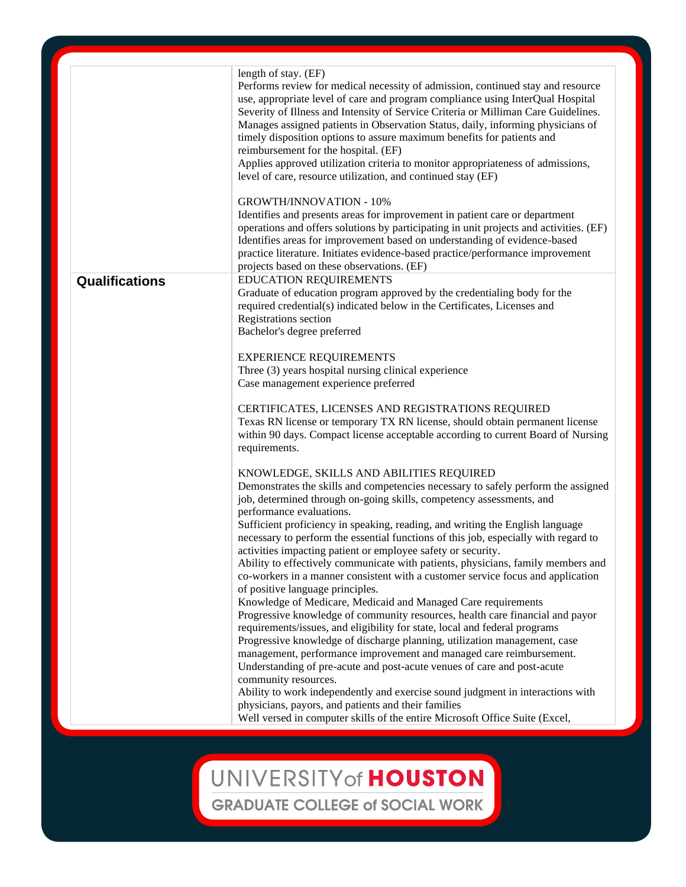|                | length of stay. (EF)<br>Performs review for medical necessity of admission, continued stay and resource<br>use, appropriate level of care and program compliance using InterQual Hospital<br>Severity of Illness and Intensity of Service Criteria or Milliman Care Guidelines.<br>Manages assigned patients in Observation Status, daily, informing physicians of<br>timely disposition options to assure maximum benefits for patients and<br>reimbursement for the hospital. (EF)<br>Applies approved utilization criteria to monitor appropriateness of admissions,<br>level of care, resource utilization, and continued stay (EF) |
|----------------|-----------------------------------------------------------------------------------------------------------------------------------------------------------------------------------------------------------------------------------------------------------------------------------------------------------------------------------------------------------------------------------------------------------------------------------------------------------------------------------------------------------------------------------------------------------------------------------------------------------------------------------------|
|                | <b>GROWTH/INNOVATION - 10%</b><br>Identifies and presents areas for improvement in patient care or department<br>operations and offers solutions by participating in unit projects and activities. (EF)<br>Identifies areas for improvement based on understanding of evidence-based<br>practice literature. Initiates evidence-based practice/performance improvement<br>projects based on these observations. (EF)                                                                                                                                                                                                                    |
| Qualifications | <b>EDUCATION REQUIREMENTS</b><br>Graduate of education program approved by the credentialing body for the<br>required credential(s) indicated below in the Certificates, Licenses and<br>Registrations section<br>Bachelor's degree preferred                                                                                                                                                                                                                                                                                                                                                                                           |
|                | <b>EXPERIENCE REQUIREMENTS</b><br>Three (3) years hospital nursing clinical experience<br>Case management experience preferred                                                                                                                                                                                                                                                                                                                                                                                                                                                                                                          |
|                | CERTIFICATES, LICENSES AND REGISTRATIONS REQUIRED<br>Texas RN license or temporary TX RN license, should obtain permanent license<br>within 90 days. Compact license acceptable according to current Board of Nursing<br>requirements.                                                                                                                                                                                                                                                                                                                                                                                                  |
|                | KNOWLEDGE, SKILLS AND ABILITIES REQUIRED<br>Demonstrates the skills and competencies necessary to safely perform the assigned<br>job, determined through on-going skills, competency assessments, and<br>performance evaluations.<br>Sufficient proficiency in speaking, reading, and writing the English language<br>necessary to perform the essential functions of this job, especially with regard to<br>activities impacting patient or employee safety or security.                                                                                                                                                               |
|                | Ability to effectively communicate with patients, physicians, family members and<br>co-workers in a manner consistent with a customer service focus and application<br>of positive language principles.<br>Knowledge of Medicare, Medicaid and Managed Care requirements<br>Progressive knowledge of community resources, health care financial and payor                                                                                                                                                                                                                                                                               |
|                | requirements/issues, and eligibility for state, local and federal programs<br>Progressive knowledge of discharge planning, utilization management, case<br>management, performance improvement and managed care reimbursement.<br>Understanding of pre-acute and post-acute venues of care and post-acute<br>community resources.<br>Ability to work independently and exercise sound judgment in interactions with                                                                                                                                                                                                                     |
|                | physicians, payors, and patients and their families<br>Well versed in computer skills of the entire Microsoft Office Suite (Excel,                                                                                                                                                                                                                                                                                                                                                                                                                                                                                                      |

## UNIVERSITY of HOUSTON **GRADUATE COLLEGE of SOCIAL WORK**